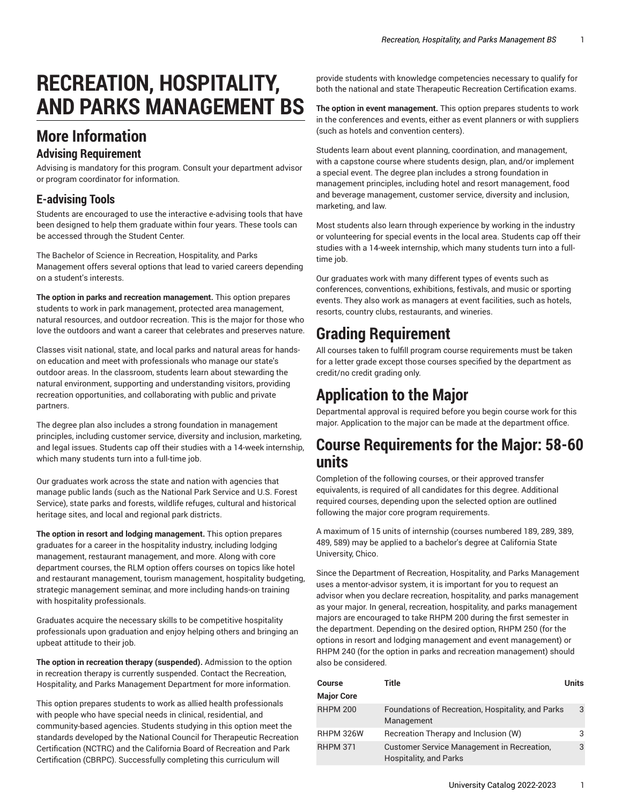# **RECREATION, HOSPITALITY, AND PARKS MANAGEMENT BS**

# **More Information**

#### **Advising Requirement**

Advising is mandatory for this program. Consult your department advisor or program coordinator for information.

#### **E-advising Tools**

Students are encouraged to use the interactive e-advising tools that have been designed to help them graduate within four years. These tools can be accessed through the Student Center.

The Bachelor of Science in Recreation, Hospitality, and Parks Management offers several options that lead to varied careers depending on a student's interests.

**The option in parks and recreation management.** This option prepares students to work in park management, protected area management, natural resources, and outdoor recreation. This is the major for those who love the outdoors and want a career that celebrates and preserves nature.

Classes visit national, state, and local parks and natural areas for handson education and meet with professionals who manage our state's outdoor areas. In the classroom, students learn about stewarding the natural environment, supporting and understanding visitors, providing recreation opportunities, and collaborating with public and private partners.

The degree plan also includes a strong foundation in management principles, including customer service, diversity and inclusion, marketing, and legal issues. Students cap off their studies with a 14-week internship, which many students turn into a full-time job.

Our graduates work across the state and nation with agencies that manage public lands (such as the National Park Service and U.S. Forest Service), state parks and forests, wildlife refuges, cultural and historical heritage sites, and local and regional park districts.

**The option in resort and lodging management.** This option prepares graduates for a career in the hospitality industry, including lodging management, restaurant management, and more. Along with core department courses, the RLM option offers courses on topics like hotel and restaurant management, tourism management, hospitality budgeting, strategic management seminar, and more including hands-on training with hospitality professionals.

Graduates acquire the necessary skills to be competitive hospitality professionals upon graduation and enjoy helping others and bringing an upbeat attitude to their job.

**The option in recreation therapy (suspended).** Admission to the option in recreation therapy is currently suspended. Contact the Recreation, Hospitality, and Parks Management Department for more information.

This option prepares students to work as allied health professionals with people who have special needs in clinical, residential, and community-based agencies. Students studying in this option meet the standards developed by the National Council for Therapeutic Recreation Certification (NCTRC) and the California Board of Recreation and Park Certification (CBRPC). Successfully completing this curriculum will

provide students with knowledge competencies necessary to qualify for both the national and state Therapeutic Recreation Certification exams.

**The option in event management.** This option prepares students to work in the conferences and events, either as event planners or with suppliers (such as hotels and convention centers).

Students learn about event planning, coordination, and management, with a capstone course where students design, plan, and/or implement a special event. The degree plan includes a strong foundation in management principles, including hotel and resort management, food and beverage management, customer service, diversity and inclusion, marketing, and law.

Most students also learn through experience by working in the industry or volunteering for special events in the local area. Students cap off their studies with a 14-week internship, which many students turn into a fulltime job.

Our graduates work with many different types of events such as conferences, conventions, exhibitions, festivals, and music or sporting events. They also work as managers at event facilities, such as hotels, resorts, country clubs, restaurants, and wineries.

# **Grading Requirement**

All courses taken to fulfill program course requirements must be taken for a letter grade except those courses specified by the department as credit/no credit grading only.

# **Application to the Major**

Departmental approval is required before you begin course work for this major. Application to the major can be made at the department office.

### **Course Requirements for the Major: 58-60 units**

Completion of the following courses, or their approved transfer equivalents, is required of all candidates for this degree. Additional required courses, depending upon the selected option are outlined following the major core program requirements.

A maximum of 15 units of internship (courses numbered 189, 289, 389, 489, 589) may be applied to a bachelor's degree at California State University, Chico.

Since the Department of Recreation, Hospitality, and Parks Management uses a mentor-advisor system, it is important for you to request an advisor when you declare recreation, hospitality, and parks management as your major. In general, recreation, hospitality, and parks management majors are encouraged to take RHPM 200 during the first semester in the department. Depending on the desired option, RHPM 250 (for the options in resort and lodging management and event management) or RHPM 240 (for the option in parks and recreation management) should also be considered.

| <b>Course</b>     | Title                                                                | Units |
|-------------------|----------------------------------------------------------------------|-------|
| <b>Major Core</b> |                                                                      |       |
| <b>RHPM 200</b>   | Foundations of Recreation, Hospitality, and Parks<br>Management      | 3     |
| <b>RHPM 326W</b>  | Recreation Therapy and Inclusion (W)                                 |       |
| <b>RHPM 371</b>   | Customer Service Management in Recreation,<br>Hospitality, and Parks | 3     |

University Catalog 2022-2023 1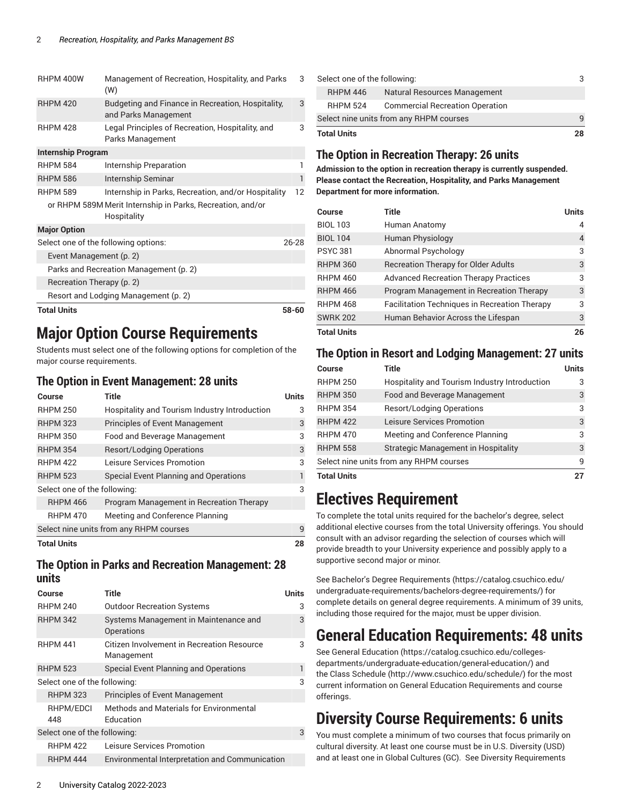|                                        | <b>Total Units</b>        |                                                                           | 58-60 |
|----------------------------------------|---------------------------|---------------------------------------------------------------------------|-------|
|                                        |                           | Resort and Lodging Management (p. 2)                                      |       |
| Recreation Therapy (p. 2)              |                           |                                                                           |       |
| Parks and Recreation Management (p. 2) |                           |                                                                           |       |
|                                        | Event Management (p. 2)   |                                                                           |       |
| Select one of the following options:   |                           |                                                                           | 26-28 |
|                                        | <b>Major Option</b>       |                                                                           |       |
|                                        |                           | or RHPM 589M Merit Internship in Parks, Recreation, and/or<br>Hospitality |       |
|                                        | <b>RHPM 589</b>           | Internship in Parks, Recreation, and/or Hospitality                       | 12    |
|                                        | <b>RHPM 586</b>           | Internship Seminar                                                        | 1     |
|                                        | <b>RHPM 584</b>           | Internship Preparation                                                    | 1     |
|                                        | <b>Internship Program</b> |                                                                           |       |
|                                        | <b>RHPM 428</b>           | Legal Principles of Recreation, Hospitality, and<br>Parks Management      | 3     |
|                                        | <b>RHPM 420</b>           | Budgeting and Finance in Recreation, Hospitality,<br>and Parks Management | 3     |
|                                        | RHPM 400W                 | Management of Recreation, Hospitality, and Parks<br>(W)                   | 3     |

### **Major Option Course Requirements**

Students must select one of the following options for completion of the major course requirements.

#### <span id="page-1-0"></span>**The Option in Event Management: 28 units**

| Course             | Title                                         | <b>Units</b> |
|--------------------|-----------------------------------------------|--------------|
| <b>RHPM 250</b>    | Hospitality and Tourism Industry Introduction | 3            |
| <b>RHPM 323</b>    | <b>Principles of Event Management</b>         | 3            |
| <b>RHPM 350</b>    | Food and Beverage Management                  | 3            |
| <b>RHPM 354</b>    | <b>Resort/Lodging Operations</b>              | 3            |
| <b>RHPM 422</b>    | Leisure Services Promotion                    | 3            |
| <b>RHPM 523</b>    | Special Event Planning and Operations         | 1            |
|                    | Select one of the following:                  | 3            |
| <b>RHPM 466</b>    | Program Management in Recreation Therapy      |              |
| <b>RHPM 470</b>    | Meeting and Conference Planning               |              |
|                    | Select nine units from any RHPM courses       | q            |
| <b>Total Units</b> |                                               | 28           |

#### <span id="page-1-1"></span>**The Option in Parks and Recreation Management: 28 units**

| Course                       | Title                                                    | Units |
|------------------------------|----------------------------------------------------------|-------|
| <b>RHPM 240</b>              | <b>Outdoor Recreation Systems</b>                        | 3     |
| <b>RHPM 342</b>              | Systems Management in Maintenance and<br>Operations      | 3     |
| <b>RHPM 441</b>              | Citizen Involvement in Recreation Resource<br>Management | 3     |
| <b>RHPM 523</b>              | Special Event Planning and Operations                    |       |
| Select one of the following: |                                                          | 3     |
| <b>RHPM 323</b>              | <b>Principles of Event Management</b>                    |       |
| RHPM/EDCI<br>448             | Methods and Materials for Environmental<br>Education     |       |
| Select one of the following: |                                                          | 3     |
| <b>RHPM 422</b>              | Leisure Services Promotion                               |       |
| <b>RHPM 444</b>              | Environmental Interpretation and Communication           |       |
|                              |                                                          |       |

| Select one of the following:            |                                        | 3  |
|-----------------------------------------|----------------------------------------|----|
| <b>RHPM 446</b>                         | Natural Resources Management           |    |
| <b>RHPM 524</b>                         | <b>Commercial Recreation Operation</b> |    |
| Select nine units from any RHPM courses |                                        | q  |
| <b>Total Units</b>                      |                                        | 28 |

#### <span id="page-1-2"></span>**The Option in Recreation Therapy: 26 units**

**Admission to the option in recreation therapy is currently suspended. Please contact the Recreation, Hospitality, and Parks Management Department for more information.**

| Course             | Title                                                | <b>Units</b> |
|--------------------|------------------------------------------------------|--------------|
| <b>BIOL 103</b>    | Human Anatomy                                        | 4            |
| <b>BIOL 104</b>    | <b>Human Physiology</b>                              | 4            |
| <b>PSYC 381</b>    | Abnormal Psychology                                  | 3            |
| <b>RHPM 360</b>    | <b>Recreation Therapy for Older Adults</b>           | 3            |
| <b>RHPM 460</b>    | <b>Advanced Recreation Therapy Practices</b>         | 3            |
| <b>RHPM 466</b>    | Program Management in Recreation Therapy             | 3            |
| <b>RHPM 468</b>    | <b>Facilitation Techniques in Recreation Therapy</b> | 3            |
| <b>SWRK 202</b>    | Human Behavior Across the Lifespan                   | 3            |
| <b>Total Units</b> |                                                      | 26           |

#### <span id="page-1-3"></span>**The Option in Resort and Lodging Management: 27 units**

| Course                                  | Title                                         | <b>Units</b> |
|-----------------------------------------|-----------------------------------------------|--------------|
| <b>RHPM 250</b>                         | Hospitality and Tourism Industry Introduction | 3            |
| <b>RHPM 350</b>                         | Food and Beverage Management                  | 3            |
| <b>RHPM 354</b>                         | <b>Resort/Lodging Operations</b>              | 3            |
| <b>RHPM 422</b>                         | Leisure Services Promotion                    | 3            |
| <b>RHPM 470</b>                         | Meeting and Conference Planning               | 3            |
| <b>RHPM 558</b>                         | <b>Strategic Management in Hospitality</b>    | 3            |
| Select nine units from any RHPM courses |                                               |              |
| <b>Total Units</b>                      |                                               |              |

### **Electives Requirement**

To complete the total units required for the bachelor's degree, select additional elective courses from the total University offerings. You should consult with an advisor regarding the selection of courses which will provide breadth to your University experience and possibly apply to a supportive second major or minor.

See Bachelor's Degree [Requirements \(https://catalog.csuchico.edu/](https://catalog.csuchico.edu/undergraduate-requirements/bachelors-degree-requirements/) [undergraduate-requirements/bachelors-degree-requirements/](https://catalog.csuchico.edu/undergraduate-requirements/bachelors-degree-requirements/)) for complete details on general degree requirements. A minimum of 39 units, including those required for the major, must be upper division.

### **General Education Requirements: 48 units**

See General [Education \(https://catalog.csuchico.edu/colleges](https://catalog.csuchico.edu/colleges-departments/undergraduate-education/general-education/)[departments/undergraduate-education/general-education/\)](https://catalog.csuchico.edu/colleges-departments/undergraduate-education/general-education/) and the [Class Schedule](http://www.csuchico.edu/schedule/) ([http://www.csuchico.edu/schedule/\)](http://www.csuchico.edu/schedule/) for the most current information on General Education Requirements and course offerings.

### **Diversity Course Requirements: 6 units**

You must complete a minimum of two courses that focus primarily on cultural diversity. At least one course must be in U.S. Diversity (USD) and at least one in Global Cultures (GC). See Diversity [Requirements](https://catalog.csuchico.edu/undergraduate-requirements/diversity-requirements/)